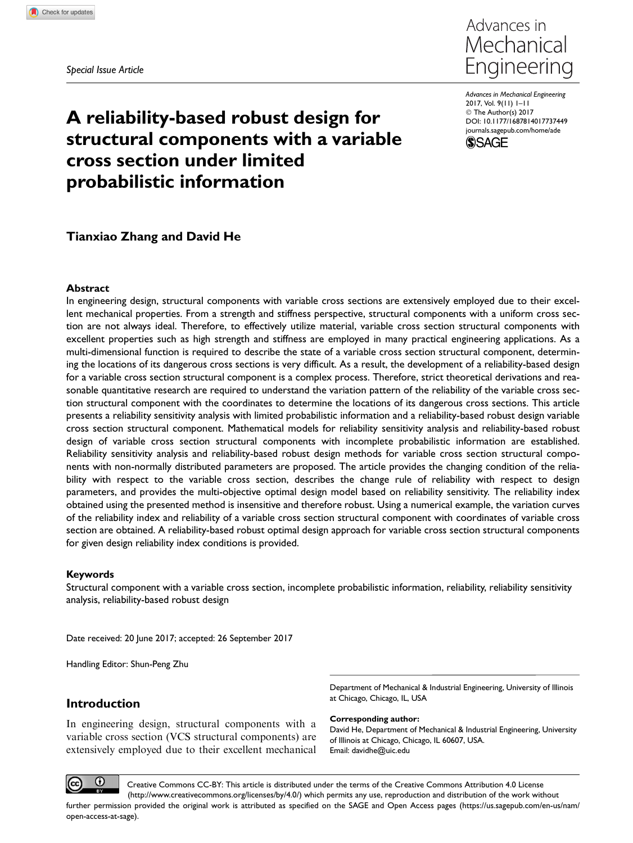Special Issue Article



Advances in Mechanical Engineering 2017, Vol. 9(11) 1–11 © The Author(s) 2017 [DOI: 10.1177/1687814017737449](https://doi.dox.org/10.1177/1687814017737449) [journals.sagepub.com/home/ade](https://journals.sagepub.com/home/ade) **SSAGE** 

# A reliability-based robust design for structural components with a variable cross section under limited probabilistic information

# Tianxiao Zhang and David He

## Abstract

In engineering design, structural components with variable cross sections are extensively employed due to their excellent mechanical properties. From a strength and stiffness perspective, structural components with a uniform cross section are not always ideal. Therefore, to effectively utilize material, variable cross section structural components with excellent properties such as high strength and stiffness are employed in many practical engineering applications. As a multi-dimensional function is required to describe the state of a variable cross section structural component, determining the locations of its dangerous cross sections is very difficult. As a result, the development of a reliability-based design for a variable cross section structural component is a complex process. Therefore, strict theoretical derivations and reasonable quantitative research are required to understand the variation pattern of the reliability of the variable cross section structural component with the coordinates to determine the locations of its dangerous cross sections. This article presents a reliability sensitivity analysis with limited probabilistic information and a reliability-based robust design variable cross section structural component. Mathematical models for reliability sensitivity analysis and reliability-based robust design of variable cross section structural components with incomplete probabilistic information are established. Reliability sensitivity analysis and reliability-based robust design methods for variable cross section structural components with non-normally distributed parameters are proposed. The article provides the changing condition of the reliability with respect to the variable cross section, describes the change rule of reliability with respect to design parameters, and provides the multi-objective optimal design model based on reliability sensitivity. The reliability index obtained using the presented method is insensitive and therefore robust. Using a numerical example, the variation curves of the reliability index and reliability of a variable cross section structural component with coordinates of variable cross section are obtained. A reliability-based robust optimal design approach for variable cross section structural components for given design reliability index conditions is provided.

#### Keywords

Structural component with a variable cross section, incomplete probabilistic information, reliability, reliability sensitivity analysis, reliability-based robust design

Date received: 20 June 2017; accepted: 26 September 2017

Handling Editor: Shun-Peng Zhu

# Introduction

In engineering design, structural components with a variable cross section (VCS structural components) are extensively employed due to their excellent mechanical

Department of Mechanical & Industrial Engineering, University of Illinois at Chicago, Chicago, IL, USA

Corresponding author:

David He, Department of Mechanical & Industrial Engineering, University of Illinois at Chicago, Chicago, IL 60607, USA. Email: davidhe@uic.edu



Creative Commons CC-BY: This article is distributed under the terms of the Creative Commons Attribution 4.0 License (http://www.creativecommons.org/licenses/by/4.0/) which permits any use, reproduction and distribution of the work without further permission provided the original work is attributed as specified on the SAGE and Open Access pages (https://us.sagepub.com/en-us/nam/ open-access-at-sage).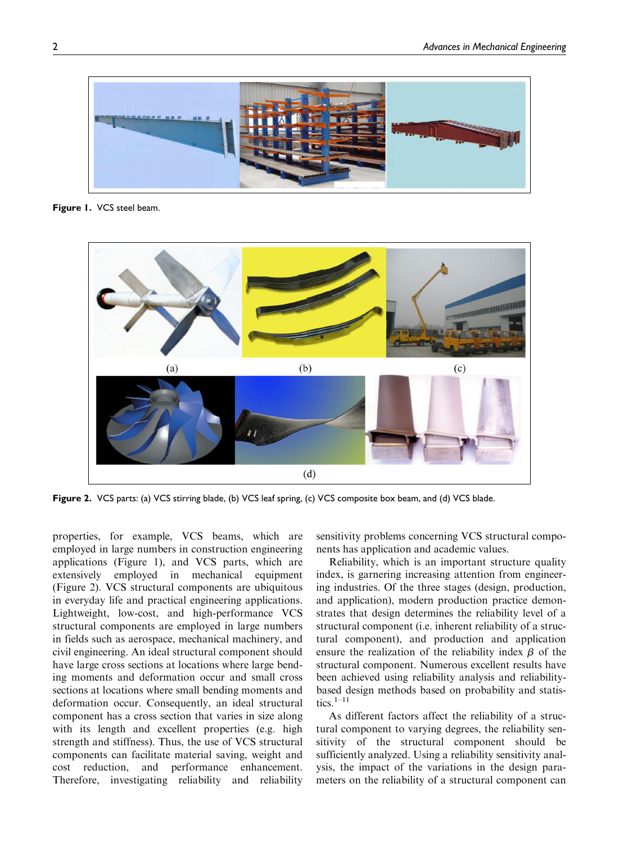

Figure 1. VCS steel beam.



Figure 2. VCS parts: (a) VCS stirring blade, (b) VCS leaf spring, (c) VCS composite box beam, and (d) VCS blade.

properties, for example, VCS beams, which are employed in large numbers in construction engineering applications (Figure 1), and VCS parts, which are extensively employed in mechanical equipment (Figure 2). VCS structural components are ubiquitous in everyday life and practical engineering applications. Lightweight, low-cost, and high-performance VCS structural components are employed in large numbers in fields such as aerospace, mechanical machinery, and civil engineering. An ideal structural component should have large cross sections at locations where large bending moments and deformation occur and small cross sections at locations where small bending moments and deformation occur. Consequently, an ideal structural component has a cross section that varies in size along with its length and excellent properties (e.g. high strength and stiffness). Thus, the use of VCS structural components can facilitate material saving, weight and cost reduction, and performance enhancement. Therefore, investigating reliability and reliability sensitivity problems concerning VCS structural components has application and academic values.

Reliability, which is an important structure quality index, is garnering increasing attention from engineering industries. Of the three stages (design, production, and application), modern production practice demonstrates that design determines the reliability level of a structural component (i.e. inherent reliability of a structural component), and production and application ensure the realization of the reliability index  $\beta$  of the structural component. Numerous excellent results have been achieved using reliability analysis and reliabilitybased design methods based on probability and statistics. $1-11$ 

As different factors affect the reliability of a structural component to varying degrees, the reliability sensitivity of the structural component should be sufficiently analyzed. Using a reliability sensitivity analysis, the impact of the variations in the design parameters on the reliability of a structural component can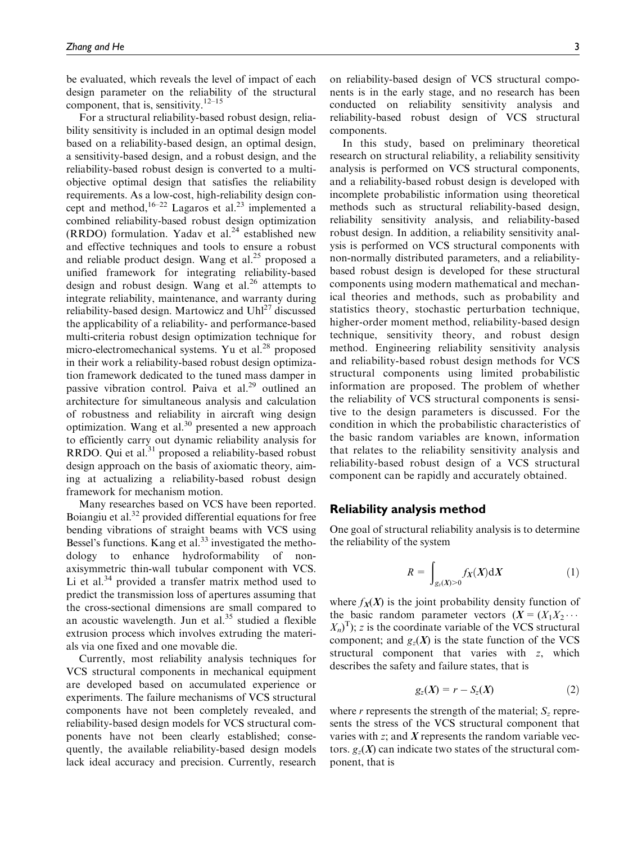be evaluated, which reveals the level of impact of each design parameter on the reliability of the structural component, that is, sensitivity.<sup>12–15</sup>

For a structural reliability-based robust design, reliability sensitivity is included in an optimal design model based on a reliability-based design, an optimal design, a sensitivity-based design, and a robust design, and the reliability-based robust design is converted to a multiobjective optimal design that satisfies the reliability requirements. As a low-cost, high-reliability design concept and method,  $16-22$  Lagaros et al.<sup>23</sup> implemented a combined reliability-based robust design optimization (RRDO) formulation. Yadav et al. $^{24}$  established new and effective techniques and tools to ensure a robust and reliable product design. Wang et  $al.^{25}$  proposed a unified framework for integrating reliability-based design and robust design. Wang et al. $^{26}$  attempts to integrate reliability, maintenance, and warranty during reliability-based design. Martowicz and  $Uh^{27}$  discussed the applicability of a reliability- and performance-based multi-criteria robust design optimization technique for micro-electromechanical systems. Yu et al.<sup>28</sup> proposed in their work a reliability-based robust design optimization framework dedicated to the tuned mass damper in passive vibration control. Paiva et al.<sup>29</sup> outlined an architecture for simultaneous analysis and calculation of robustness and reliability in aircraft wing design optimization. Wang et al.<sup>30</sup> presented a new approach to efficiently carry out dynamic reliability analysis for RRDO. Qui et al. $31$  proposed a reliability-based robust design approach on the basis of axiomatic theory, aiming at actualizing a reliability-based robust design framework for mechanism motion.

Many researches based on VCS have been reported. Boiangiu et al.<sup>32</sup> provided differential equations for free bending vibrations of straight beams with VCS using Bessel's functions. Kang et al. $33$  investigated the methodology to enhance hydroformability of nonaxisymmetric thin-wall tubular component with VCS. Li et al. $34$  provided a transfer matrix method used to predict the transmission loss of apertures assuming that the cross-sectional dimensions are small compared to an acoustic wavelength. Jun et al. $35$  studied a flexible extrusion process which involves extruding the materials via one fixed and one movable die.

Currently, most reliability analysis techniques for VCS structural components in mechanical equipment are developed based on accumulated experience or experiments. The failure mechanisms of VCS structural components have not been completely revealed, and reliability-based design models for VCS structural components have not been clearly established; consequently, the available reliability-based design models lack ideal accuracy and precision. Currently, research on reliability-based design of VCS structural components is in the early stage, and no research has been conducted on reliability sensitivity analysis and reliability-based robust design of VCS structural components.

In this study, based on preliminary theoretical research on structural reliability, a reliability sensitivity analysis is performed on VCS structural components, and a reliability-based robust design is developed with incomplete probabilistic information using theoretical methods such as structural reliability-based design, reliability sensitivity analysis, and reliability-based robust design. In addition, a reliability sensitivity analysis is performed on VCS structural components with non-normally distributed parameters, and a reliabilitybased robust design is developed for these structural components using modern mathematical and mechanical theories and methods, such as probability and statistics theory, stochastic perturbation technique, higher-order moment method, reliability-based design technique, sensitivity theory, and robust design method. Engineering reliability sensitivity analysis and reliability-based robust design methods for VCS structural components using limited probabilistic information are proposed. The problem of whether the reliability of VCS structural components is sensitive to the design parameters is discussed. For the condition in which the probabilistic characteristics of the basic random variables are known, information that relates to the reliability sensitivity analysis and reliability-based robust design of a VCS structural component can be rapidly and accurately obtained.

#### Reliability analysis method

One goal of structural reliability analysis is to determine the reliability of the system

$$
R = \int_{g_z(X) > 0} f_X(X) \, \mathrm{d}X \tag{1}
$$

where  $f_X(X)$  is the joint probability density function of the basic random parameter vectors  $(X = (X_1 X_2 \cdots$  $(X_n)^T$ ; z is the coordinate variable of the VCS structural component; and  $g_z(X)$  is the state function of the VCS structural component that varies with z, which describes the safety and failure states, that is

$$
g_z(X) = r - S_z(X) \tag{2}
$$

where r represents the strength of the material;  $S_z$  represents the stress of the VCS structural component that varies with  $z$ ; and  $\boldsymbol{X}$  represents the random variable vectors.  $g_z(X)$  can indicate two states of the structural component, that is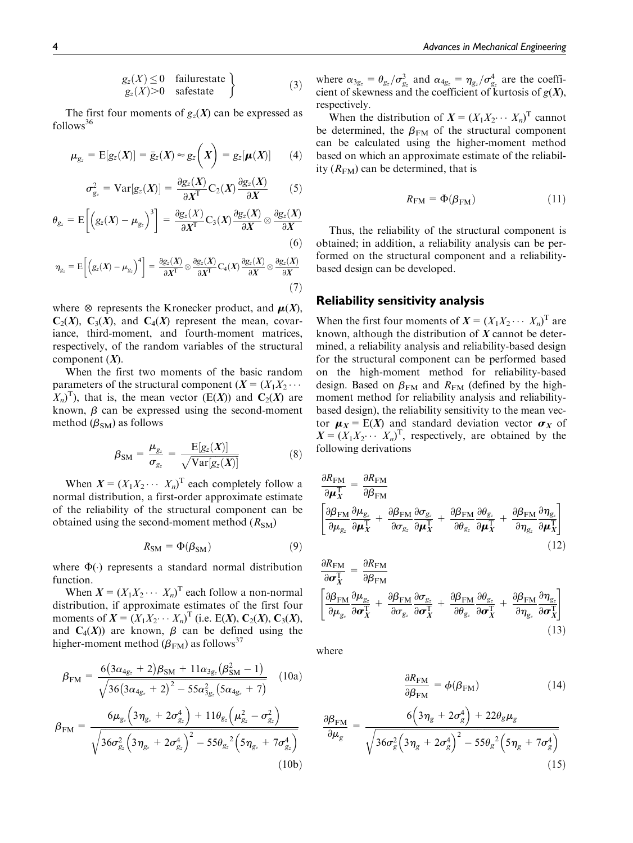$$
g_z(X) \le 0 \quad \text{failurestate} \\ g_z(X) > 0 \quad \text{safestate} \quad \text{(3)}
$$

The first four moments of  $g_z(X)$  can be expressed as  $follows<sup>36</sup>$ 

$$
\mu_{g_z} = \mathrm{E}[g_z(X)] = \bar{g}_z(X) \approx g_z\left(X\right) = g_z[\mu(X)] \qquad (4)
$$

$$
\sigma_{g_z}^2 = \text{Var}[g_z(X)] = \frac{\partial g_z(X)}{\partial X^T} C_2(X) \frac{\partial g_z(X)}{\partial X}
$$
 (5)

$$
\theta_{g_z} = \mathcal{E}\left[\left(g_z(X) - \mu_{g_z}\right)^3\right] = \frac{\partial g_z(X)}{\partial X^T} C_3(X) \frac{\partial g_z(X)}{\partial X} \otimes \frac{\partial g_z(X)}{\partial X}
$$
(6)

$$
\eta_{g_z} = \mathcal{E}\bigg[\Big(g_z(X) - \mu_{g_z}\Big)^4\bigg] = \frac{\partial g_z(X)}{\partial X^T} \otimes \frac{\partial g_z(X)}{\partial X^T} C_4(X) \frac{\partial g_z(X)}{\partial X} \otimes \frac{\partial g_z(X)}{\partial X} \tag{7}
$$

where  $\otimes$  represents the Kronecker product, and  $\mu(X)$ ,  $C_2(X)$ ,  $C_3(X)$ , and  $C_4(X)$  represent the mean, covariance, third-moment, and fourth-moment matrices, respectively, of the random variables of the structural component  $(X)$ .

When the first two moments of the basic random parameters of the structural component  $(X = (X_1X_2 \cdots$  $(X_n)^T$ , that is, the mean vector  $(E(X))$  and  $C_2(X)$  are known,  $\beta$  can be expressed using the second-moment method  $(\beta_{SM})$  as follows

$$
\beta_{\rm SM} = \frac{\mu_{g_z}}{\sigma_{g_z}} = \frac{\mathrm{E}[g_z(X)]}{\sqrt{\mathrm{Var}[g_z(X)]}} \tag{8}
$$

When  $X = (X_1 X_2 \cdots X_n)^T$  each completely follow a normal distribution, a first-order approximate estimate of the reliability of the structural component can be obtained using the second-moment method  $(R<sub>SM</sub>)$ 

$$
R_{\rm SM} = \Phi(\beta_{\rm SM}) \tag{9}
$$

where  $\Phi(\cdot)$  represents a standard normal distribution function.

When  $X = (X_1 X_2 \cdots X_n)^T$  each follow a non-normal distribution, if approximate estimates of the first four moments of  $X = (X_1X_2 \cdots X_n)^T$  (i.e. E(X),  $C_2(X)$ ,  $C_3(X)$ , and  $C_4(X)$  are known,  $\beta$  can be defined using the higher-moment method ( $\beta_{\text{FM}}$ ) as follows<sup>37</sup>

$$
\beta_{FM} = \frac{6(3\alpha_{4g_z} + 2)\beta_{SM} + 11\alpha_{3g_z}(\beta_{SM}^2 - 1)}{\sqrt{36(3\alpha_{4g_z} + 2)^2 - 55\alpha_{3g_z}^2(5\alpha_{4g_z} + 7)}}
$$
 (10a)

$$
\beta_{\text{FM}} = \frac{6\mu_{g_z} \left(3\eta_{g_z} + 2\sigma_{g_z}^4\right) + 11\theta_{g_z} \left(\mu_{g_z}^2 - \sigma_{g_z}^2\right)}{\sqrt{36\sigma_{g_z}^2 \left(3\eta_{g_z} + 2\sigma_{g_z}^4\right)^2 - 55\theta_{g_z}^2 \left(5\eta_{g_z} + 7\sigma_{g_z}^4\right)}}
$$
\n(10b)

where  $\alpha_{3g_z} = \theta_{g_z}/\sigma_{g_z}^3$  and  $\alpha_{4g_z} = \eta_{g_z}/\sigma_{g_z}^4$  are the coefficient of skewness and the coefficient of kurtosis of  $g(X)$ , respectively.

When the distribution of  $X = (X_1 X_2 \cdots X_n)^T$  cannot be determined, the  $\beta_{FM}$  of the structural component can be calculated using the higher-moment method based on which an approximate estimate of the reliability  $(R<sub>FM</sub>)$  can be determined, that is

$$
R_{\rm FM} = \Phi(\beta_{\rm FM}) \tag{11}
$$

Thus, the reliability of the structural component is obtained; in addition, a reliability analysis can be performed on the structural component and a reliabilitybased design can be developed.

## Reliability sensitivity analysis

When the first four moments of  $X = (X_1 X_2 \cdots X_n)^T$  are known, although the distribution of  $X$  cannot be determined, a reliability analysis and reliability-based design for the structural component can be performed based on the high-moment method for reliability-based design. Based on  $\beta_{FM}$  and  $R_{FM}$  (defined by the highmoment method for reliability analysis and reliabilitybased design), the reliability sensitivity to the mean vector  $\mu_X = E(X)$  and standard deviation vector  $\sigma_X$  of  $X = (X_1 X_2 \cdots X_n)^T$ , respectively, are obtained by the following derivations

$$
\frac{\partial R_{\text{FM}}}{\partial \mu_X^{\text{T}}} = \frac{\partial R_{\text{FM}}}{\partial \beta_{\text{FM}}}
$$
\n
$$
\left[ \frac{\partial \beta_{\text{FM}}}{\partial \mu_{g_z}} \frac{\partial \mu_{g_z}}{\partial \mu_X^{\text{T}}} + \frac{\partial \beta_{\text{FM}}}{\partial \sigma_{g_z}} \frac{\partial \sigma_{g_z}}{\partial \mu_X^{\text{T}}} + \frac{\partial \beta_{\text{FM}}}{\partial \theta_{g_z}} \frac{\partial \theta_{g_z}}{\partial \mu_X^{\text{T}}} + \frac{\partial \beta_{\text{FM}}}{\partial \eta_{g_z}} \frac{\partial \eta_{g_z}}{\partial \mu_X^{\text{T}}} \right]
$$
\n(12)

$$
\frac{\partial R_{\text{FM}}}{\partial \sigma_X^T} = \frac{\partial R_{\text{FM}}}{\partial \beta_{\text{FM}}}
$$
\n
$$
\left[ \frac{\partial \beta_{\text{FM}}}{\partial \mu_{g_z}} \frac{\partial \mu_{g_z}}{\partial \sigma_X^T} + \frac{\partial \beta_{\text{FM}}}{\partial \sigma_{g_z}} \frac{\partial \sigma_{g_z}}{\partial \sigma_X^T} + \frac{\partial \beta_{\text{FM}}}{\partial \theta_{g_z}} \frac{\partial \theta_{g_z}}{\partial \sigma_X^T} + \frac{\partial \beta_{\text{FM}}}{\partial \eta_{g_z}} \frac{\partial \eta_{g_z}}{\partial \sigma_X^T} \right]
$$
\n(13)

where

$$
\frac{\partial R_{\text{FM}}}{\partial \beta_{\text{FM}}} = \phi(\beta_{\text{FM}}) \tag{14}
$$

$$
\frac{\partial \beta_{\text{FM}}}{\partial \mu_g} = \frac{6\left(3\eta_g + 2\sigma_g^4\right) + 22\theta_g \mu_g}{\sqrt{36\sigma_g^2 \left(3\eta_g + 2\sigma_g^4\right)^2 - 55\theta_g^2 \left(5\eta_g + 7\sigma_g^4\right)}}
$$
\n(15)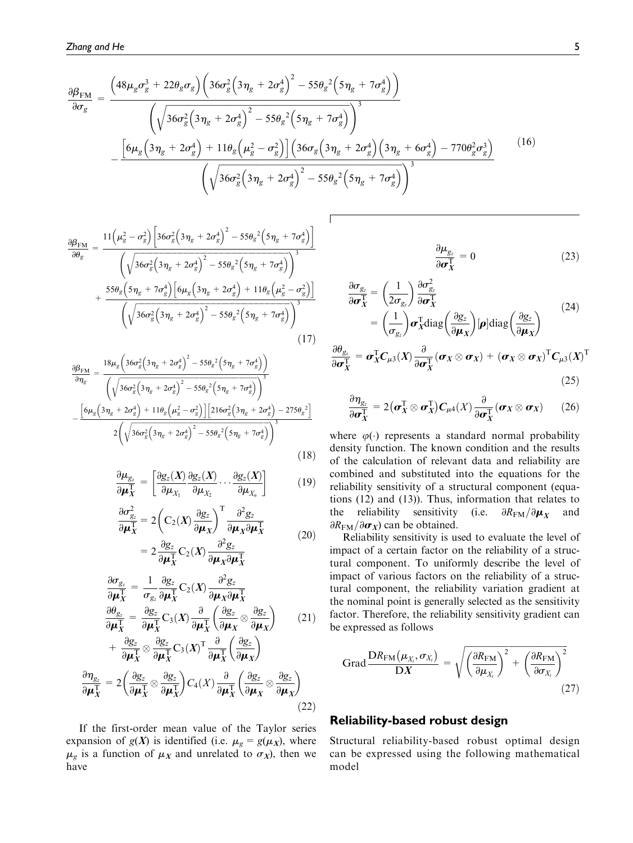$$
\frac{\partial \beta_{\text{FM}}}{\partial \sigma_g} = \frac{\left(48\mu_g \sigma_g^3 + 22\theta_g \sigma_g\right) \left(36\sigma_g^2 \left(3\eta_g + 2\sigma_g^4\right)^2 - 55\theta_g^2 \left(5\eta_g + 7\sigma_g^4\right)\right)}{\left(\sqrt{36\sigma_g^2 \left(3\eta_g + 2\sigma_g^4\right)^2 - 55\theta_g^2 \left(5\eta_g + 7\sigma_g^4\right)\right)^3}} - \frac{\left[6\mu_g \left(3\eta_g + 2\sigma_g^4\right) + 11\theta_g \left(\mu_g^2 - \sigma_g^2\right)\right] \left(36\sigma_g \left(3\eta_g + 2\sigma_g^4\right) \left(3\eta_g + 6\sigma_g^4\right) - 770\theta_g^2 \sigma_g^3\right)}{\left(\sqrt{36\sigma_g^2 \left(3\eta_g + 2\sigma_g^4\right)^2 - 55\theta_g^2 \left(5\eta_g + 7\sigma_g^4\right)\right)^3}}
$$
\n(16)

$$
\frac{\partial \beta_{\text{FM}}}{\partial \theta_{g}} = \frac{11\left(\mu_{g}^{2} - \sigma_{g}^{2}\right)\left[36\sigma_{g}^{2}\left(3\eta_{g} + 2\sigma_{g}^{4}\right)^{2} - 55\theta_{g}^{2}\left(5\eta_{g} + 7\sigma_{g}^{4}\right)\right]}{\left(\sqrt{36\sigma_{g}^{2}\left(3\eta_{g} + 2\sigma_{g}^{4}\right)^{2} - 55\theta_{g}^{2}\left(5\eta_{g} + 7\sigma_{g}^{4}\right)\right)^{3}} + \frac{55\theta_{g}\left(5\eta_{g} + 7\sigma_{g}^{4}\right)\left[6\mu_{g}\left(3\eta_{g} + 2\sigma_{g}^{4}\right) + 11\theta_{g}\left(\mu_{g}^{2} - \sigma_{g}^{2}\right)\right]}{\left(\sqrt{36\sigma_{g}^{2}\left(3\eta_{g} + 2\sigma_{g}^{4}\right)^{2} - 55\theta_{g}^{2}\left(5\eta_{g} + 7\sigma_{g}^{4}\right)\right)^{3}}}
$$
\n(17)

$$
\frac{\partial \beta_{\text{FM}}}{\partial \eta_g} = \frac{18 \mu_g \left(36 \sigma_g^2 \left(3 \eta_g + 2 \sigma_g^4\right)^2 - 55 \theta_g^2 \left(5 \eta_g + 7 \sigma_g^4\right)\right)}{\left(\sqrt{36 \sigma_g^2 \left(3 \eta_g + 2 \sigma_g^4\right)^2 - 55 \theta_g^2 \left(5 \eta_g + 7 \sigma_g^4\right)\right)^3}} - \frac{\left[6 \mu_g \left(3 \eta_g + 2 \sigma_g^4\right) + 11 \theta_g \left(\mu_g^2 - \sigma_g^2\right)\right] \left[216 \sigma_g^2 \left(3 \eta_g + 2 \sigma_g^4\right) - 275 \theta_g^2\right]}{2 \left(\sqrt{36 \sigma_g^2 \left(3 \eta_g + 2 \sigma_g^4\right)^2 - 55 \theta_g^2 \left(5 \eta_g + 7 \sigma_g^4\right)\right)^3}}
$$
\n(18)

$$
\frac{\partial \mu_{g_z}}{\partial \mu_X^T} = \left[ \frac{\partial g_z(X)}{\partial \mu_{X_1}} \frac{\partial g_z(X)}{\partial \mu_{X_2}} \cdots \frac{\partial g_z(X)}{\partial \mu_{X_n}} \right] \tag{19}
$$

$$
\frac{\partial \sigma_{g_z}^2}{\partial \mu_X^T} = 2\left(C_2(X)\frac{\partial g_z}{\partial \mu_X}\right)^T \frac{\partial^2 g_z}{\partial \mu_X \partial \mu_X^T}
$$
\n
$$
= 2\frac{\partial g_z}{\partial \mu_X^T} C_2(X)\frac{\partial^2 g_z}{\partial \mu_X \partial \mu_X^T}
$$
\n(20)

$$
\frac{\partial \sigma_{g_z}}{\partial \mu_X^T} = \frac{1}{\sigma_{g_z}} \frac{\partial g_z}{\partial \mu_X^T} C_2(X) \frac{\partial^2 g_z}{\partial \mu_X \partial \mu_X^T}
$$
\n
$$
\frac{\partial \sigma_{g_z}}{\partial \mu_X^T} = \frac{\partial g_z}{\partial \mu_X^T} C_3(X) \frac{\partial}{\partial \mu_X^T} \left( \frac{\partial g_z}{\partial \mu_X} \otimes \frac{\partial g_z}{\partial \mu_X} \right) \qquad (21)
$$
\n
$$
\frac{\partial g_z}{\partial \mu_X^T} = \frac{\partial g_z}{\partial \mu_X^T} C_3(X) \frac{\partial}{\partial \mu_X^T} \left( \frac{\partial g_z}{\partial \mu_X} \otimes \frac{\partial g_z}{\partial \mu_X} \right)
$$

$$
+\frac{\partial g_z}{\partial \mu_X^T} \otimes \frac{\partial g_z}{\partial \mu_X^T} C_3(X)^T \frac{\partial}{\partial \mu_X^T} \left(\frac{\partial g_z}{\partial \mu_X}\right)
$$

$$
\frac{\partial \eta_{g_z}}{\partial \mu_X^T} = 2 \left(\frac{\partial g_z}{\partial \mu_X^T} \otimes \frac{\partial g_z}{\partial \mu_X^T}\right) C_4(X) \frac{\partial}{\partial \mu_X^T} \left(\frac{\partial g_z}{\partial \mu_X} \otimes \frac{\partial g_z}{\partial \mu_X}\right)
$$
(22)

If the first-order mean value of the Taylor series expansion of  $g(X)$  is identified (i.e.  $\mu_g = g(\mu_X)$ , where  $\mu_g$  is a function of  $\mu_X$  and unrelated to  $\sigma_X$ ), then we have

$$
\frac{\partial \mu_{g_z}}{\partial \sigma_X^{\mathrm{T}}} = 0 \tag{23}
$$

$$
\frac{\partial \sigma_{g_z}}{\partial \sigma_X^T} = \left(\frac{1}{2\sigma_{g_z}}\right) \frac{\partial \sigma_{g_z}^2}{\partial \sigma_X^T} \n= \left(\frac{1}{\sigma_{g_z}}\right) \sigma_X^T \text{diag}\left(\frac{\partial g_z}{\partial \mu_X}\right) [\rho] \text{diag}\left(\frac{\partial g_z}{\partial \mu_X}\right)
$$
\n(24)

$$
\frac{\partial \theta_{g_z}}{\partial \sigma_X^{\mathrm{T}}} = \sigma_X^{\mathrm{T}} C_{\mu 3}(X) \frac{\partial}{\partial \sigma_X^{\mathrm{T}}} (\sigma_X \otimes \sigma_X) + (\sigma_X \otimes \sigma_X)^{\mathrm{T}} C_{\mu 3}(X)^{\mathrm{T}}
$$
(25)

$$
\frac{\partial \eta_{g_z}}{\partial \sigma_X^{\mathrm{T}}} = 2 (\sigma_X^{\mathrm{T}} \otimes \sigma_X^{\mathrm{T}}) C_{\mu 4}(X) \frac{\partial}{\partial \sigma_X^{\mathrm{T}}} (\sigma_X \otimes \sigma_X) \qquad (26)
$$

where  $\varphi(\cdot)$  represents a standard normal probability density function. The known condition and the results of the calculation of relevant data and reliability are combined and substituted into the equations for the reliability sensitivity of a structural component (equations (12) and (13)). Thus, information that relates to the reliability sensitivity (i.e.  $\partial R_{\text{FM}}/\partial \mu_X$  and  $\partial R_{\text{FM}}/\partial \sigma_X$ ) can be obtained.

Reliability sensitivity is used to evaluate the level of impact of a certain factor on the reliability of a structural component. To uniformly describe the level of impact of various factors on the reliability of a structural component, the reliability variation gradient at the nominal point is generally selected as the sensitivity factor. Therefore, the reliability sensitivity gradient can be expressed as follows

$$
\text{Grad} \frac{\text{DR}_{\text{FM}}(\mu_{X_i}, \sigma_{X_i})}{\text{D}X} = \sqrt{\left(\frac{\partial R_{\text{FM}}}{\partial \mu_{X_i}}\right)^2 + \left(\frac{\partial R_{\text{FM}}}{\partial \sigma_{X_i}}\right)^2}
$$
\n(27)

# Reliability-based robust design

Structural reliability-based robust optimal design can be expressed using the following mathematical model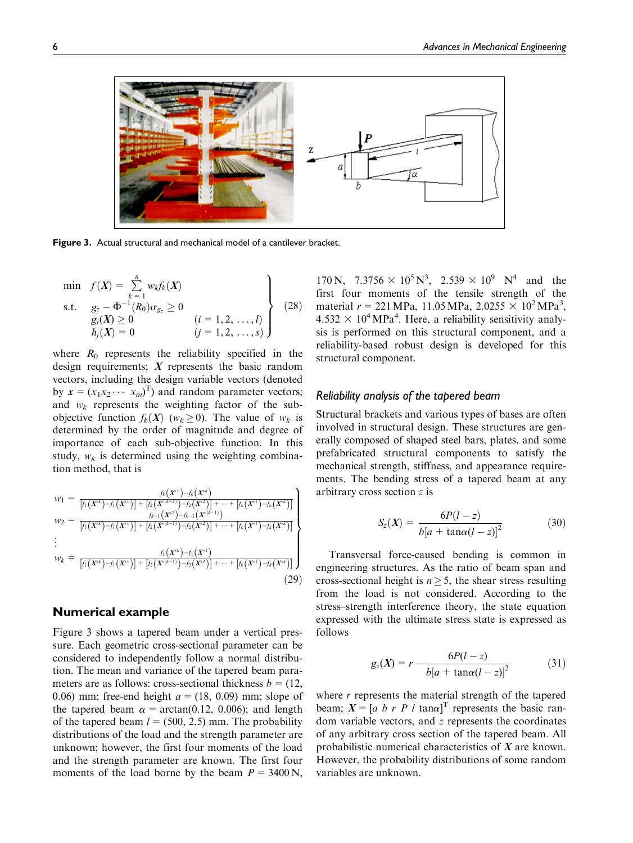

Figure 3. Actual structural and mechanical model of a cantilever bracket.

$$
\min f(X) = \sum_{k=1}^{n} w_k f_k(X)
$$
\n  
\n
$$
s.t. \quad g_z - \Phi^{-1}(R_0) \sigma_{g_z} \ge 0
$$
\n
$$
g_i(X) \ge 0 \qquad (i = 1, 2, ..., l)
$$
\n
$$
h_j(X) = 0 \qquad (j = 1, 2, ..., s)
$$
\n(28)

where  $R_0$  represents the reliability specified in the design requirements;  $X$  represents the basic random vectors, including the design variable vectors (denoted by  $\mathbf{x} = (x_1 x_2 \cdots x_m)^T$  and random parameter vectors; and  $w_k$  represents the weighting factor of the subobjective function  $f_k(X)$  ( $w_k \ge 0$ ). The value of  $w_k$  is determined by the order of magnitude and degree of importance of each sub-objective function. In this study,  $w_k$  is determined using the weighting combination method, that is

$$
w_1 = \frac{f_k(X^{*1}) - f_k(X^{*k})}{[f_1(X^{*k}) - f_1(X^{*1})] + [f_2(X^{*(k-1)}) - f_2(X^{*2})] + \dots + [f_k(X^{*1}) - f_k(X^{*k})]}
$$
  
\n
$$
w_2 = \frac{f_{k-1}(X^{*2}) - f_{k-1}(X^{*(k-1)})}{[f_1(X^{*k}) - f_1(X^{*1})] + [f_2(X^{*(k-1)}) - f_2(X^{*2})] + \dots + [f_k(X^{*1}) - f_k(X^{*k})]}
$$
  
\n
$$
\vdots
$$
  
\n
$$
w_k = \frac{f_1(X^{*k}) - f_1(X^{*1})}{[f_1(X^{*k}) - f_1(X^{*1})] + [f_2(X^{*(k-1)}) - f_2(X^{*2})] + \dots + [f_k(X^{*1}) - f_k(X^{*k})]}
$$
  
\n(29)

# Numerical example

Figure 3 shows a tapered beam under a vertical pressure. Each geometric cross-sectional parameter can be considered to independently follow a normal distribution. The mean and variance of the tapered beam parameters are as follows: cross-sectional thickness  $b = (12, 12)$ 0.06) mm; free-end height  $a = (18, 0.09)$  mm; slope of the tapered beam  $\alpha = \arctan(0.12, 0.006)$ ; and length of the tapered beam  $l = (500, 2.5)$  mm. The probability distributions of the load and the strength parameter are unknown; however, the first four moments of the load and the strength parameter are known. The first four moments of the load borne by the beam  $P = 3400 \text{ N}$ ,

170 N,  $7.3756 \times 10^5 \text{ N}^3$ ,  $2.539 \times 10^9 \text{ N}^4$  and the first four moments of the tensile strength of the material  $r = 221 \text{ MPa}$ , 11.05 MPa, 2.0255  $\times 10^2 \text{ MPa}^3$ ,  $4.532 \times 10^4 \text{ MPa}^4$ . Here, a reliability sensitivity analysis is performed on this structural component, and a reliability-based robust design is developed for this structural component.

#### Reliability analysis of the tapered beam

Structural brackets and various types of bases are often involved in structural design. These structures are generally composed of shaped steel bars, plates, and some prefabricated structural components to satisfy the mechanical strength, stiffness, and appearance requirements. The bending stress of a tapered beam at any arbitrary cross section z is

$$
S_z(X) = \frac{6P(l-z)}{b[a + \tan\alpha(l-z)]^2}
$$
 (30)

Transversal force-caused bending is common in engineering structures. As the ratio of beam span and cross-sectional height is  $n \geq 5$ , the shear stress resulting from the load is not considered. According to the stress–strength interference theory, the state equation expressed with the ultimate stress state is expressed as follows

$$
g_z(X) = r - \frac{6P(l-z)}{b[a + \tan\alpha(l-z)]^2}
$$
 (31)

where  $r$  represents the material strength of the tapered beam;  $X = [a \; b \; r \; P \; l \; \tan\alpha]^T$  represents the basic random variable vectors, and z represents the coordinates of any arbitrary cross section of the tapered beam. All probabilistic numerical characteristics of X are known. However, the probability distributions of some random variables are unknown.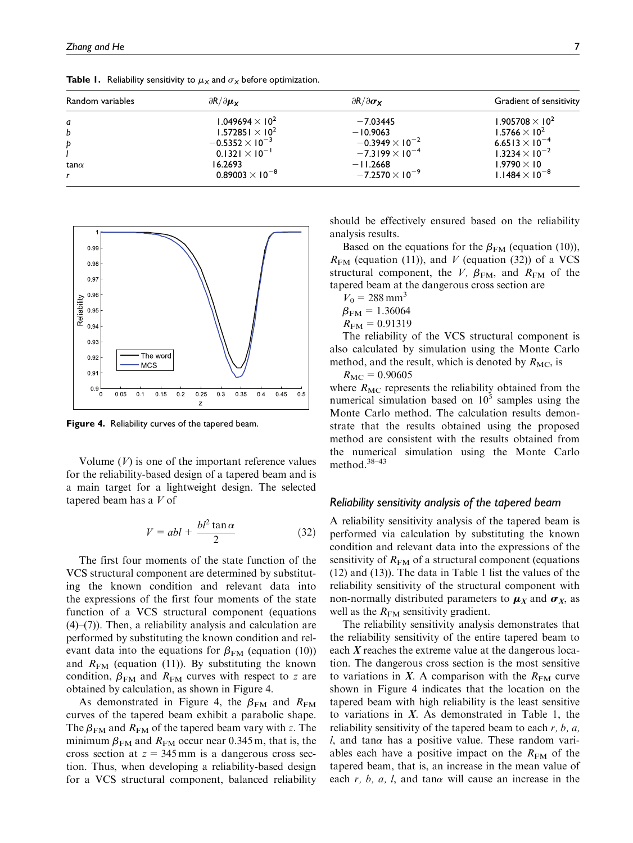| Random variables | $\partial R/\partial \mu_X$       | $\partial R/\partial \sigma_{\mathbf{x}}$ | Gradient of sensitivity           |
|------------------|-----------------------------------|-------------------------------------------|-----------------------------------|
| a                | 1.049694 $\times$ 10 <sup>2</sup> | $-7.03445$                                | 1.905708 $\times$ 10 <sup>2</sup> |
| b                | 1.572851 $\times$ 10 <sup>2</sup> | $-10.9063$                                | 1.5766 $\times$ 10 <sup>2</sup>   |
| Þ                | $-0.5352\times10^{-3}$            | $-0.3949 \times 10^{-2}$                  | 6.6513 $\times$ 10 <sup>-4</sup>  |
|                  | $0.1321 \times 10^{-1}$           | $-7.3199 \times 10^{-4}$                  | $1.3234 \times 10^{-2}$           |
| tan $\alpha$     | 16.2693                           | $-11.2668$                                | $1.9790 \times 10$                |
|                  | $0.89003 \times 10^{-8}$          | $-7.2570 \times 10^{-9}$                  | $1.1484 \times 10^{-8}$           |

**Table 1.** Reliability sensitivity to  $\mu_X$  and  $\sigma_X$  before optimization.



Figure 4. Reliability curves of the tapered beam.

Volume  $(V)$  is one of the important reference values for the reliability-based design of a tapered beam and is a main target for a lightweight design. The selected tapered beam has a V of

$$
V = abl + \frac{bl^2 \tan \alpha}{2} \tag{32}
$$

The first four moments of the state function of the VCS structural component are determined by substituting the known condition and relevant data into the expressions of the first four moments of the state function of a VCS structural component (equations (4)–(7)). Then, a reliability analysis and calculation are performed by substituting the known condition and relevant data into the equations for  $\beta_{FM}$  (equation (10)) and  $R_{FM}$  (equation (11)). By substituting the known condition,  $\beta_{\text{FM}}$  and  $R_{\text{FM}}$  curves with respect to z are obtained by calculation, as shown in Figure 4.

As demonstrated in Figure 4, the  $\beta_{\text{FM}}$  and  $R_{\text{FM}}$ curves of the tapered beam exhibit a parabolic shape. The  $\beta_{\text{FM}}$  and  $R_{\text{FM}}$  of the tapered beam vary with z. The minimum  $\beta_{\text{FM}}$  and  $R_{\text{FM}}$  occur near 0.345 m, that is, the cross section at  $z = 345$  mm is a dangerous cross section. Thus, when developing a reliability-based design for a VCS structural component, balanced reliability should be effectively ensured based on the reliability analysis results.

Based on the equations for the  $\beta_{FM}$  (equation (10)),  $R_{FM}$  (equation (11)), and V (equation (32)) of a VCS structural component, the V,  $\beta_{FM}$ , and  $R_{FM}$  of the tapered beam at the dangerous cross section are

- $V_0 = 288$  mm<sup>3</sup>
- $\beta_{\text{FM}} = 1.36064$
- $R_{FM} = 0.91319$

The reliability of the VCS structural component is also calculated by simulation using the Monte Carlo method, and the result, which is denoted by  $R_{\text{MC}}$ , is

 $R_{MC} = 0.90605$ 

where  $R_{MC}$  represents the reliability obtained from the numerical simulation based on  $10<sup>5</sup>$  samples using the Monte Carlo method. The calculation results demonstrate that the results obtained using the proposed method are consistent with the results obtained from the numerical simulation using the Monte Carlo method.38–43

## Reliability sensitivity analysis of the tapered beam

A reliability sensitivity analysis of the tapered beam is performed via calculation by substituting the known condition and relevant data into the expressions of the sensitivity of  $R_{FM}$  of a structural component (equations (12) and (13)). The data in Table 1 list the values of the reliability sensitivity of the structural component with non-normally distributed parameters to  $\mu_X$  and  $\sigma_X$ , as well as the  $R_{\text{FM}}$  sensitivity gradient.

The reliability sensitivity analysis demonstrates that the reliability sensitivity of the entire tapered beam to each  $X$  reaches the extreme value at the dangerous location. The dangerous cross section is the most sensitive to variations in X. A comparison with the  $R_{FM}$  curve shown in Figure 4 indicates that the location on the tapered beam with high reliability is the least sensitive to variations in  $X$ . As demonstrated in Table 1, the reliability sensitivity of the tapered beam to each  $r$ ,  $b$ ,  $a$ ,  $l$ , and tan $\alpha$  has a positive value. These random variables each have a positive impact on the  $R_{FM}$  of the tapered beam, that is, an increase in the mean value of each r, b, a, l, and tan $\alpha$  will cause an increase in the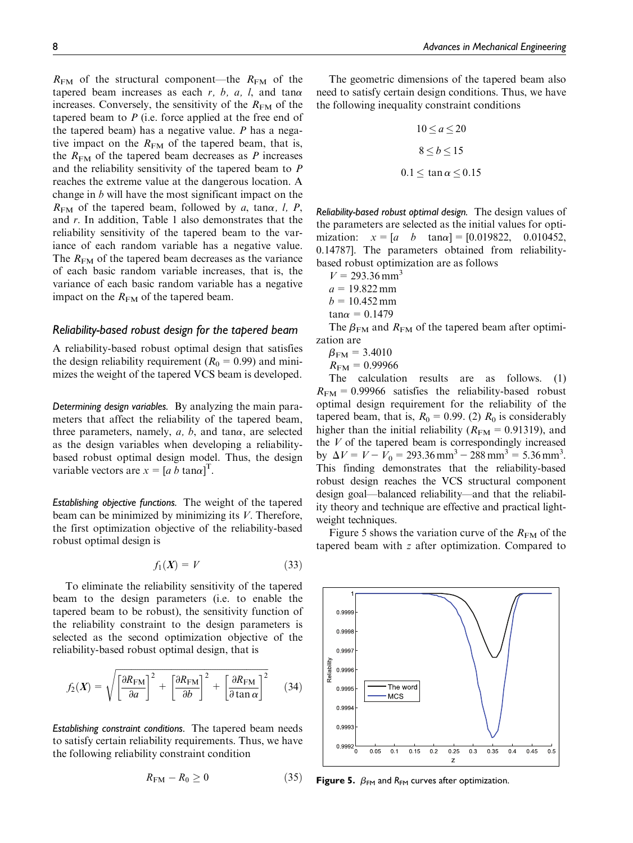$R_{\text{FM}}$  of the structural component—the  $R_{\text{FM}}$  of the tapered beam increases as each  $r$ ,  $b$ ,  $a$ ,  $l$ , and tan $\alpha$ increases. Conversely, the sensitivity of the  $R_{FM}$  of the tapered beam to  $P$  (i.e. force applied at the free end of the tapered beam) has a negative value.  $P$  has a negative impact on the  $R_{FM}$  of the tapered beam, that is, the  $R_{\text{FM}}$  of the tapered beam decreases as P increases and the reliability sensitivity of the tapered beam to P reaches the extreme value at the dangerous location. A change in  $b$  will have the most significant impact on the  $R_{\text{FM}}$  of the tapered beam, followed by a, tana, l, P, and r. In addition, Table 1 also demonstrates that the reliability sensitivity of the tapered beam to the variance of each random variable has a negative value. The  $R_{\text{FM}}$  of the tapered beam decreases as the variance of each basic random variable increases, that is, the variance of each basic random variable has a negative impact on the  $R_{FM}$  of the tapered beam.

## Reliability-based robust design for the tapered beam

A reliability-based robust optimal design that satisfies the design reliability requirement ( $R_0 = 0.99$ ) and minimizes the weight of the tapered VCS beam is developed.

Determining design variables. By analyzing the main parameters that affect the reliability of the tapered beam, three parameters, namely,  $a, b$ , and tan $\alpha$ , are selected as the design variables when developing a reliabilitybased robust optimal design model. Thus, the design variable vectors are  $x = [a \, b \, \tan\alpha]^T$ .

Establishing objective functions. The weight of the tapered beam can be minimized by minimizing its V. Therefore, the first optimization objective of the reliability-based robust optimal design is

$$
f_1(X) = V \tag{33}
$$

To eliminate the reliability sensitivity of the tapered beam to the design parameters (i.e. to enable the tapered beam to be robust), the sensitivity function of the reliability constraint to the design parameters is selected as the second optimization objective of the reliability-based robust optimal design, that is

$$
f_2(X) = \sqrt{\left[\frac{\partial R_{\text{FM}}}{\partial a}\right]^2 + \left[\frac{\partial R_{\text{FM}}}{\partial b}\right]^2 + \left[\frac{\partial R_{\text{FM}}}{\partial \tan \alpha}\right]^2} \tag{34}
$$

Establishing constraint conditions. The tapered beam needs to satisfy certain reliability requirements. Thus, we have the following reliability constraint condition

The geometric dimensions of the tapered beam also need to satisfy certain design conditions. Thus, we have the following inequality constraint conditions

$$
10 \le a \le 20
$$
  

$$
8 \le b \le 15
$$
  

$$
0.1 \le \tan \alpha \le 0.15
$$

Reliability-based robust optimal design. The design values of the parameters are selected as the initial values for optimization:  $x = [a \ b \ \tan\alpha] = [0.019822, \ 0.010452]$ 0.14787]. The parameters obtained from reliabilitybased robust optimization are as follows

 $V = 293.36$  mm<sup>3</sup>  $a = 19.822$  mm  $b = 10.452$  mm  $tan\alpha = 0.1479$ 

The  $\beta_{\text{FM}}$  and  $R_{\text{FM}}$  of the tapered beam after optimization are

$$
\beta_{\text{FM}}=3.4010
$$

$$
R_{\text{FM}}=0.99966
$$

The calculation results are as follows. (1)  $R_{\text{FM}} = 0.99966$  satisfies the reliability-based robust optimal design requirement for the reliability of the tapered beam, that is,  $R_0 = 0.99$ . (2)  $R_0$  is considerably higher than the initial reliability ( $R_{\text{FM}}= 0.91319$ ), and the  $V$  of the tapered beam is correspondingly increased by  $\Delta V = V - V_0 = 293.36 \text{ mm}^3 - 288 \text{ mm}^3 = 5.36 \text{ mm}^3$ . This finding demonstrates that the reliability-based robust design reaches the VCS structural component design goal—balanced reliability—and that the reliability theory and technique are effective and practical lightweight techniques.

Figure 5 shows the variation curve of the  $R_{\text{FM}}$  of the tapered beam with z after optimization. Compared to



Figure 5.  $\beta$ <sub>FM</sub> and R<sub>FM</sub> curves after optimization.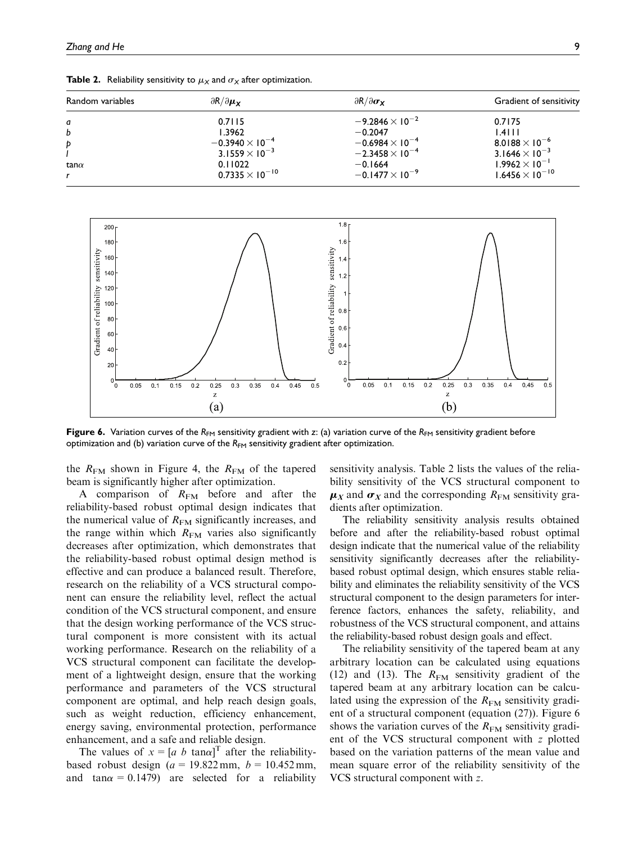| Random variables | $\partial R/\partial \mu_Y$ | $\partial R/\partial \sigma_{\bf X}$ | Gradient of sensitivity          |
|------------------|-----------------------------|--------------------------------------|----------------------------------|
| a                | 0.7115                      | $-9.2846\times10^{-2}$               | 0.7175                           |
| b                | 1.3962                      | $-0.2047$                            | $1.4$                            |
| Þ                | $-0.3940\times 10^{-4}$     | $-0.6984\times10^{-4}$               | 8.0188 $\times$ 10 <sup>-6</sup> |
|                  | $3.1559 \times 10^{-3}$     | $-2.3458 \times 10^{-4}$             | 3.1646 $\times$ 10 <sup>-3</sup> |
| tan $\alpha$     | 0.11022                     | $-0.1664$                            | $1.9962 \times 10^{-1}$          |
|                  | $0.7335 \times 10^{-10}$    | $-0.1477 \times 10^{-9}$             | $1.6456 \times 10^{-10}$         |

**Table 2.** Reliability sensitivity to  $\mu_X$  and  $\sigma_X$  after optimization.



Figure 6. Variation curves of the R<sub>FM</sub> sensitivity gradient with z: (a) variation curve of the R<sub>FM</sub> sensitivity gradient before optimization and (b) variation curve of the  $R_{FM}$  sensitivity gradient after optimization.

the  $R_{FM}$  shown in Figure 4, the  $R_{FM}$  of the tapered beam is significantly higher after optimization.

A comparison of  $R_{FM}$  before and after the reliability-based robust optimal design indicates that the numerical value of  $R_{FM}$  significantly increases, and the range within which  $R_{FM}$  varies also significantly decreases after optimization, which demonstrates that the reliability-based robust optimal design method is effective and can produce a balanced result. Therefore, research on the reliability of a VCS structural component can ensure the reliability level, reflect the actual condition of the VCS structural component, and ensure that the design working performance of the VCS structural component is more consistent with its actual working performance. Research on the reliability of a VCS structural component can facilitate the development of a lightweight design, ensure that the working performance and parameters of the VCS structural component are optimal, and help reach design goals, such as weight reduction, efficiency enhancement, energy saving, environmental protection, performance enhancement, and a safe and reliable design.

The values of  $x = [a \; b \; \tan\alpha]^T$  after the reliabilitybased robust design ( $a = 19.822$  mm,  $b = 10.452$  mm, and tan $\alpha$  = 0.1479) are selected for a reliability sensitivity analysis. Table 2 lists the values of the reliability sensitivity of the VCS structural component to  $\mu_X$  and  $\sigma_X$  and the corresponding  $R_{FM}$  sensitivity gradients after optimization.

The reliability sensitivity analysis results obtained before and after the reliability-based robust optimal design indicate that the numerical value of the reliability sensitivity significantly decreases after the reliabilitybased robust optimal design, which ensures stable reliability and eliminates the reliability sensitivity of the VCS structural component to the design parameters for interference factors, enhances the safety, reliability, and robustness of the VCS structural component, and attains the reliability-based robust design goals and effect.

The reliability sensitivity of the tapered beam at any arbitrary location can be calculated using equations (12) and (13). The  $R_{FM}$  sensitivity gradient of the tapered beam at any arbitrary location can be calculated using the expression of the  $R_{FM}$  sensitivity gradient of a structural component (equation (27)). Figure 6 shows the variation curves of the  $R_{FM}$  sensitivity gradient of the VCS structural component with z plotted based on the variation patterns of the mean value and mean square error of the reliability sensitivity of the VCS structural component with z.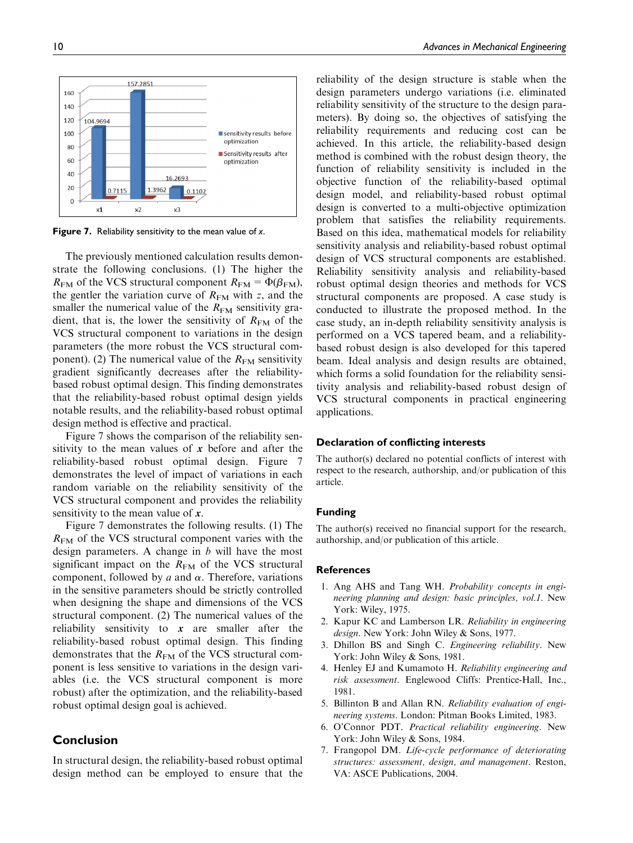157 2851 160 140  $12C$ 104.9694 100 sensitivity results before optimization  $80$ Sensitivity results after 60 optimization  $40$ 16 2693  $2<sup>c</sup>$ 1.3962 0.7115  $0.1102$  $\epsilon$  $\times 1$  $x<sub>2</sub>$ xЗ

Figure 7. Reliability sensitivity to the mean value of x.

The previously mentioned calculation results demonstrate the following conclusions. (1) The higher the  $R_{\text{FM}}$  of the VCS structural component  $R_{\text{FM}}=\Phi(\beta_{\text{FM}})$ , the gentler the variation curve of  $R_{FM}$  with z, and the smaller the numerical value of the  $R_{FM}$  sensitivity gradient, that is, the lower the sensitivity of  $R_{FM}$  of the VCS structural component to variations in the design parameters (the more robust the VCS structural component). (2) The numerical value of the  $R_{FM}$  sensitivity gradient significantly decreases after the reliabilitybased robust optimal design. This finding demonstrates that the reliability-based robust optimal design yields notable results, and the reliability-based robust optimal design method is effective and practical.

Figure 7 shows the comparison of the reliability sensitivity to the mean values of  $x$  before and after the reliability-based robust optimal design. Figure 7 demonstrates the level of impact of variations in each random variable on the reliability sensitivity of the VCS structural component and provides the reliability sensitivity to the mean value of  $x$ .

Figure 7 demonstrates the following results. (1) The  $R_{FM}$  of the VCS structural component varies with the design parameters. A change in  $b$  will have the most significant impact on the  $R_{FM}$  of the VCS structural component, followed by  $a$  and  $\alpha$ . Therefore, variations in the sensitive parameters should be strictly controlled when designing the shape and dimensions of the VCS structural component. (2) The numerical values of the reliability sensitivity to  $x$  are smaller after the reliability-based robust optimal design. This finding demonstrates that the  $R_{FM}$  of the VCS structural component is less sensitive to variations in the design variables (i.e. the VCS structural component is more robust) after the optimization, and the reliability-based robust optimal design goal is achieved.

# Conclusion

In structural design, the reliability-based robust optimal design method can be employed to ensure that the reliability of the design structure is stable when the design parameters undergo variations (i.e. eliminated reliability sensitivity of the structure to the design parameters). By doing so, the objectives of satisfying the reliability requirements and reducing cost can be achieved. In this article, the reliability-based design method is combined with the robust design theory, the function of reliability sensitivity is included in the objective function of the reliability-based optimal design model, and reliability-based robust optimal design is converted to a multi-objective optimization problem that satisfies the reliability requirements. Based on this idea, mathematical models for reliability sensitivity analysis and reliability-based robust optimal design of VCS structural components are established. Reliability sensitivity analysis and reliability-based robust optimal design theories and methods for VCS structural components are proposed. A case study is conducted to illustrate the proposed method. In the case study, an in-depth reliability sensitivity analysis is performed on a VCS tapered beam, and a reliabilitybased robust design is also developed for this tapered beam. Ideal analysis and design results are obtained, which forms a solid foundation for the reliability sensitivity analysis and reliability-based robust design of VCS structural components in practical engineering applications.

#### Declaration of conflicting interests

The author(s) declared no potential conflicts of interest with respect to the research, authorship, and/or publication of this article.

#### Funding

The author(s) received no financial support for the research, authorship, and/or publication of this article.

#### **References**

- 1. Ang AHS and Tang WH. Probability concepts in engineering planning and design: basic principles, vol.1. New York: Wiley, 1975.
- 2. Kapur KC and Lamberson LR. Reliability in engineering design. New York: John Wiley & Sons, 1977.
- 3. Dhillon BS and Singh C. Engineering reliability. New York: John Wiley & Sons, 1981.
- 4. Henley EJ and Kumamoto H. Reliability engineering and risk assessment. Englewood Cliffs: Prentice-Hall, Inc., 1981.
- 5. Billinton B and Allan RN. Reliability evaluation of engineering systems. London: Pitman Books Limited, 1983.
- 6. O'Connor PDT. Practical reliability engineering. New York: John Wiley & Sons, 1984.
- 7. Frangopol DM. Life-cycle performance of deteriorating structures: assessment, design, and management. Reston, VA: ASCE Publications, 2004.